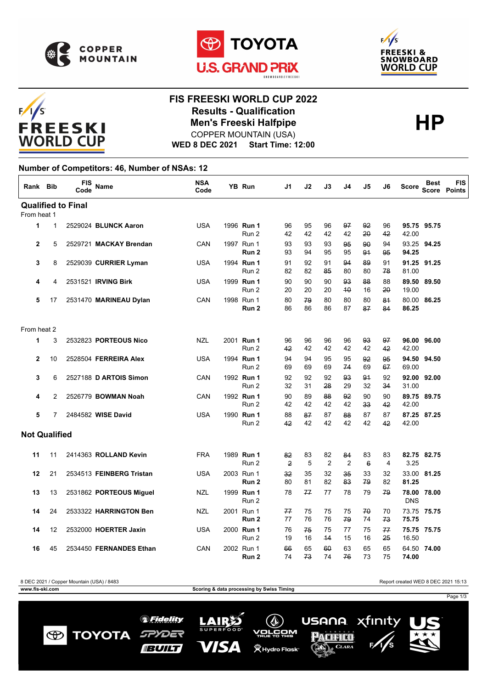

 $F/1/S$ 





# FREESKI **WORLD CUP**

#### **FIS FREESKI WORLD CUP 2022 Results - Qualification<br>
Men's Freeski Halfpipe<br>
COPPER MOUNTAIN (USA)** COPPER MOUNTAIN (USA)

**WED 8 DEC 2021 Start Time: 12:00**

#### **Number of Competitors: 46, Number of NSAs: 12**

| Rank Bib             |                           | <b>FIS</b><br>Code | Name                       | <b>NSA</b><br>Code |  | <b>YB Run</b>                  | J1       | J2       | J3                   | J4                   | J5                    | J6                   | <b>Score</b>   | <b>Best</b><br><b>Score</b> | <b>FIS</b><br>Points |
|----------------------|---------------------------|--------------------|----------------------------|--------------------|--|--------------------------------|----------|----------|----------------------|----------------------|-----------------------|----------------------|----------------|-----------------------------|----------------------|
|                      | <b>Qualified to Final</b> |                    |                            |                    |  |                                |          |          |                      |                      |                       |                      |                |                             |                      |
| From heat 1          |                           |                    |                            |                    |  |                                |          |          |                      |                      |                       |                      |                |                             |                      |
| 1                    | $\mathbf{1}$              |                    | 2529024 BLUNCK Aaron       | <b>USA</b>         |  | 1996 Run 1<br>Run 2            | 96<br>42 | 95<br>42 | 96<br>42             | 97<br>42             | 92<br>20              | 96<br>42             | 42.00          | 95.75 95.75                 |                      |
| $\mathbf{2}$         | 5                         |                    | 2529721 MACKAY Brendan     | CAN                |  | 1997 Run 1<br>Run 2            | 93<br>93 | 93<br>94 | 93<br>95             | 95<br>95             | 90<br>91              | 94<br>95             | 94.25          | 93.25 94.25                 |                      |
| 3                    | 8                         |                    | 2529039 CURRIER Lyman      | USA                |  | 1994 Run 1<br>Run 2            | 91<br>82 | 92<br>82 | 91<br>85             | 94<br>80             | 89<br>80              | 91<br>78             | 81.00          | 91.25 91.25                 |                      |
| 4                    | 4                         |                    | 2531521 IRVING Birk        | <b>USA</b>         |  | 1999 Run 1<br>Run 2            | 90<br>20 | 90<br>20 | 90<br>20             | 93<br>40             | 88<br>16              | 88<br>20             | 89.50<br>19.00 | 89.50                       |                      |
| 5                    | 17                        |                    | 2531470 MARINEAU Dylan     | CAN                |  | 1998 Run 1<br>Run 2            | 80<br>86 | 79<br>86 | 80<br>86             | 80<br>87             | 80<br>87              | 84<br>84             | 86.25          | 80.00 86.25                 |                      |
| From heat 2          |                           |                    |                            |                    |  |                                |          |          |                      |                      |                       |                      |                |                             |                      |
| 1                    | 3                         |                    | 2532823 PORTEOUS Nico      | <b>NZL</b>         |  | 2001 Run 1<br>Run <sub>2</sub> | 96<br>42 | 96<br>42 | 96<br>42             | 96<br>42             | 93<br>42              | 97<br>42             | 42.00          | 96.00 96.00                 |                      |
| $\mathbf{2}$         | 10                        |                    | 2528504 FERREIRA Alex      | USA                |  | 1994 Run 1<br>Run 2            | 94<br>69 | 94<br>69 | 95<br>69             | 95<br>74             | 92<br>69              | 95<br>67             | 69.00          | 94.50 94.50                 |                      |
| 3                    | 6                         |                    | 2527188 D ARTOIS Simon     | CAN                |  | 1992 Run 1<br>Run 2            | 92<br>32 | 92<br>31 | 92<br>28             | 93<br>29             | 91<br>32              | 92<br>34             | 31.00          | 92.00 92.00                 |                      |
| 4                    | 2                         |                    | 2526779 <b>BOWMAN Noah</b> | CAN                |  | 1992 Run 1<br>Run 2            | 90<br>42 | 89<br>42 | 88<br>42             | 92<br>42             | 90<br>33              | 90<br>42             | 42.00          | 89.75 89.75                 |                      |
| 5                    | 7                         |                    | 2484582 WISE David         | <b>USA</b>         |  | 1990 Run 1<br>Run 2            | 88<br>42 | 87<br>42 | 87<br>42             | 88<br>42             | 87<br>42              | 87<br>42             | 42.00          | 87.25 87.25                 |                      |
| <b>Not Qualified</b> |                           |                    |                            |                    |  |                                |          |          |                      |                      |                       |                      |                |                             |                      |
| 11                   | 11                        |                    | 2414363 ROLLAND Kevin      | <b>FRA</b>         |  | 1989 Run 1<br>Run 2            | 82<br>2  | 83<br>5  | 82<br>$\overline{2}$ | 84<br>$\overline{2}$ | 83<br>$6\phantom{1}6$ | 83<br>$\overline{4}$ | 3.25           | 82.75 82.75                 |                      |
| 12                   | 21                        |                    | 2534513 FEINBERG Tristan   | <b>USA</b>         |  | 2003 Run 1<br>Run 2            | 32<br>80 | 35<br>81 | 32<br>82             | 35<br>83             | 33<br>79              | 32<br>82             | 81.25          | 33.00 81.25                 |                      |
| 13                   | 13                        |                    | 2531862 PORTEOUS Miguel    | NZL                |  | 1999 Run 1<br>Run 2            | 78       | 77       | 77                   | 78                   | 79                    | 79                   | <b>DNS</b>     | 78.00 78.00                 |                      |
| 14                   | 24                        |                    | 2533322 HARRINGTON Ben     | <b>NZL</b>         |  | 2001 Run 1<br>Run 2            | 77<br>77 | 75<br>76 | 75<br>76             | 75<br>79             | 70<br>74              | 70<br>73             | 75.75          | 73.75 75.75                 |                      |
| 14                   | 12                        |                    | 2532000 HOERTER Jaxin      | <b>USA</b>         |  | 2000 Run 1<br>Run 2            | 76<br>19 | 75<br>16 | 75<br>44             | 77<br>15             | 75<br>16              | 77<br>25             | 16.50          | 75.75 75.75                 |                      |
| 16                   | 45                        |                    | 2534450 FERNANDES Ethan    | CAN                |  | 2002 Run 1<br>Run 2            | 66<br>74 | 65<br>73 | 60<br>74             | 63<br>76             | 65<br>73              | 65<br>75             | 74.00          | 64.50 74.00                 |                      |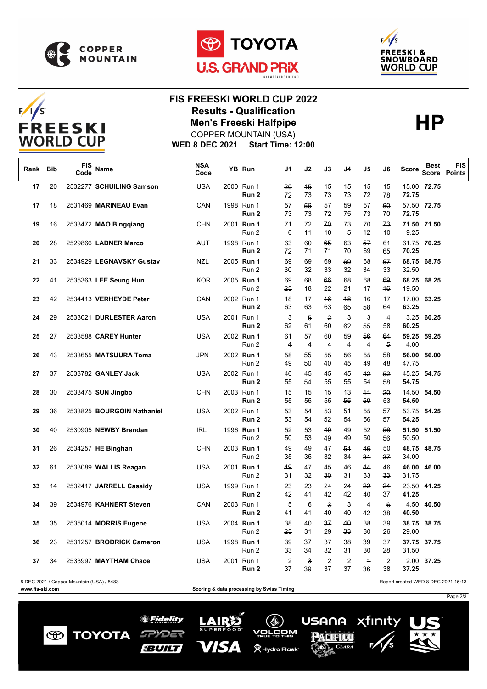





## $F/1/S$ **FREESKI WORLD CUP**

## **FIS FREESKI WORLD CUP 2022 Results - Qualification<br>
Men's Freeski Halfpipe<br>
COPPER MOUNTAIN (USA)** COPPER MOUNTAIN (USA)

**WED 8 DEC 2021 Start Time: 12:00**

| Rank                                                                             | <b>Bib</b> | <b>FIS</b><br>Code | Name                       | <b>NSA</b><br>Code |  | YB Run                         | J1                   | J2                   | J3                            | J4                   | J5                   | J6                    | <b>Score</b>   | <b>Best</b> | <b>FIS</b><br>Score Points |
|----------------------------------------------------------------------------------|------------|--------------------|----------------------------|--------------------|--|--------------------------------|----------------------|----------------------|-------------------------------|----------------------|----------------------|-----------------------|----------------|-------------|----------------------------|
| 17                                                                               | 20         |                    | 2532277 SCHUILING Samson   | <b>USA</b>         |  | 2000 Run 1<br>Run 2            | 20<br>72             | 45<br>73             | 15<br>73                      | 15<br>73             | 15<br>72             | 15<br>78              | 72.75          | 15.00 72.75 |                            |
| 17                                                                               | 18         |                    | 2531469 MARINEAU Evan      | CAN                |  | 1998 Run 1<br>Run 2            | 57<br>73             | 56<br>73             | 57<br>72                      | 59<br>75             | 57<br>73             | 60<br>70              | 72.75          | 57.50 72.75 |                            |
| 19                                                                               | 16         |                    | 2533472 MAO Binggiang      | <b>CHN</b>         |  | 2001 Run 1<br>Run 2            | 71<br>6              | 72<br>11             | 70<br>10                      | 73<br>$\overline{5}$ | 70<br>$+2$           | 73<br>10              | 9.25           | 71.50 71.50 |                            |
| 20                                                                               | 28         |                    | 2529866 LADNER Marco       | <b>AUT</b>         |  | 1998 Run 1<br>Run 2            | 63<br>72             | 60<br>71             | 65<br>71                      | 63<br>70             | 57<br>69             | 61<br>65              | 70.25          | 61.75 70.25 |                            |
| 21                                                                               | 33         |                    | 2534929 LEGNAVSKY Gustav   | NZL                |  | 2005 Run 1<br>Run 2            | 69<br>30             | 69<br>32             | 69<br>33                      | 69<br>32             | 68<br>34             | 67<br>33              | 32.50          | 68.75 68.75 |                            |
| 22                                                                               | 41         |                    | 2535363 LEE Seung Hun      | <b>KOR</b>         |  | 2005 Run 1<br>Run 2            | 69<br>25             | 68<br>18             | 66<br>22                      | 68<br>21             | 68<br>17             | 69<br>46              | 19.50          | 68.25 68.25 |                            |
| 23                                                                               | 42         |                    | 2534413 VERHEYDE Peter     | CAN                |  | 2002 Run 1<br>Run 2            | 18<br>63             | 17<br>63             | 46<br>63                      | 48<br>65             | 16<br>58             | 17<br>64              | 63.25          | 17.00 63.25 |                            |
| 24                                                                               | 29         |                    | 2533021 DURLESTER Aaron    | USA                |  | 2001 Run 1<br>Run <sub>2</sub> | 3<br>62              | $\overline{5}$<br>61 | $\overline{2}$<br>60          | 3<br>62              | 3<br>55              | 4<br>58               | 60.25          | 3.25 60.25  |                            |
| 25                                                                               | 27         |                    | 2533588 CAREY Hunter       | <b>USA</b>         |  | 2002 Run 1<br>Run 2            | 61<br>4              | 57<br>4              | 60<br>$\overline{4}$          | 59<br>4              | 56<br>4              | 64<br>5               | 4.00           | 59.25 59.25 |                            |
| 26                                                                               | 43         |                    | 2533655 MATSUURA Toma      | <b>JPN</b>         |  | 2002 Run 1<br>Run 2            | 58<br>49             | 55<br>50             | 55<br>40                      | 56<br>45             | 55<br>49             | 58<br>48              | 56.00<br>47.75 | 56.00       |                            |
| 27                                                                               | 37         |                    | 2533782 GANLEY Jack        | <b>USA</b>         |  | 2002 Run 1<br>Run 2            | 46<br>55             | 45<br>54             | 45<br>55                      | 45<br>55             | 42<br>54             | 52<br>58              | 54.75          | 45.25 54.75 |                            |
| 28                                                                               | 30         |                    | 2533475 SUN Jingbo         | <b>CHN</b>         |  | 2003 Run 1<br>Run 2            | 15<br>55             | 15<br>55             | 15<br>55                      | 13<br>55             | $+4$<br>50           | 20<br>53              | 14.50<br>54.50 | 54.50       |                            |
| 29                                                                               | 36         |                    | 2533825 BOURGOIN Nathaniel | <b>USA</b>         |  | 2002 Run 1<br>Run 2            | 53<br>53             | 54<br>54             | 53<br>52                      | 51<br>54             | 55<br>56             | 57<br>57              | 54.25          | 53.75 54.25 |                            |
| 30                                                                               | 40         |                    | 2530905 NEWBY Brendan      | IRL                |  | 1996 Run 1<br>Run 2            | 52<br>50             | 53<br>53             | 49<br>49                      | 49<br>49             | 52<br>50             | 56<br>56              | 50.50          | 51.50 51.50 |                            |
| 31                                                                               | 26         |                    | 2534257 HE Binghan         | <b>CHN</b>         |  | 2003 Run 1<br>Run 2            | 49<br>35             | 49<br>35             | 47<br>32                      | 51<br>34             | 46<br>34             | 50<br>37              | 34.00          | 48.75 48.75 |                            |
| 32                                                                               | 61         |                    | 2533089 WALLIS Reagan      | USA                |  | 2001 Run 1<br>Run 2            | 49<br>31             | 47<br>32             | 45<br>30                      | 46<br>31             | 44<br>33             | 46<br>33              | 31.75          | 46.00 46.00 |                            |
| 33                                                                               | 14         |                    | 2532417 JARRELL Cassidy    | <b>USA</b>         |  | 1999 Run 1<br>Run 2            | 23<br>42             | 23<br>41             | 24<br>42                      | 24<br>42             | 22<br>40             | 24<br>37              | 41.25          | 23.50 41.25 |                            |
| 34                                                                               | 39         |                    | 2534976 KAHNERT Steven     | CAN                |  | 2003 Run 1<br>Run 2            | 5<br>41              | 6<br>41              | $\overline{\mathbf{3}}$<br>40 | 3<br>40              | $\overline{4}$<br>42 | $6\overline{6}$<br>38 | 4.50<br>40.50  | 40.50       |                            |
| 35                                                                               | 35         |                    | 2535014 MORRIS Eugene      | USA                |  | 2004 Run 1<br>Run 2            | 38<br>25             | 40<br>31             | 37<br>29                      | 40<br>33             | 38<br>30             | 39<br>26              | 38.75<br>29.00 | 38.75       |                            |
| 36                                                                               | 23         |                    | 2531257 BRODRICK Cameron   | USA                |  | 1998 Run 1<br>Run 2            | 39<br>33             | 37<br>34             | 37<br>32                      | 38<br>31             | 39<br>30             | 37<br>28              | 31.50          | 37.75 37.75 |                            |
| 37                                                                               | 34         |                    | 2533997 MAYTHAM Chace      | <b>USA</b>         |  | 2001 Run 1<br>Run 2            | $\overline{2}$<br>37 | 3<br>39              | $\overline{2}$<br>37          | $\overline{2}$<br>37 | $\overline{1}$<br>36 | $\overline{2}$<br>38  | 37.25          | 2.00 37.25  |                            |
| Report created WED 8 DEC 2021 15:13<br>8 DEC 2021 / Copper Mountain (USA) / 8483 |            |                    |                            |                    |  |                                |                      |                      |                               |                      |                      |                       |                |             |                            |

 $\bigcirc$ 

**TOYOTA** 

**www.fis-ski.com Scoring & data processing by Swiss Timing**

*<sup></sub>* Fidelity</sup>

SPYDER

**IBUILT**